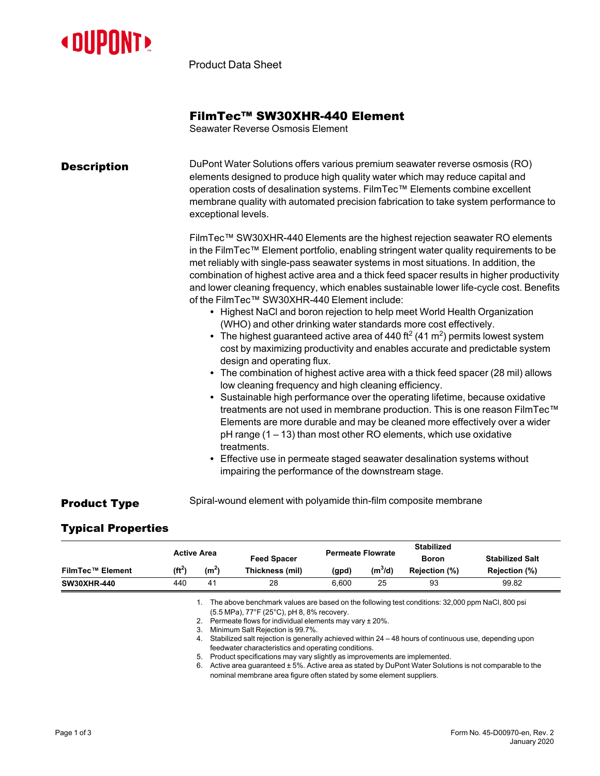

Product Data Sheet

## FilmTec™ SW30XHR-440 Element

Seawater Reverse Osmosis Element

| <b>Description</b> | DuPont Water Solutions offers various premium seawater reverse osmosis (RO)<br>elements designed to produce high quality water which may reduce capital and<br>operation costs of desalination systems. FilmTec™ Elements combine excellent<br>membrane quality with automated precision fabrication to take system performance to<br>exceptional levels.                                                                                                                                                                                                                                                                                                                                                                                                                                                                                                                                                                                                                                                                                                                                                                                                                                                                                                                                                                                                                                                                                                                                      |  |  |  |  |
|--------------------|------------------------------------------------------------------------------------------------------------------------------------------------------------------------------------------------------------------------------------------------------------------------------------------------------------------------------------------------------------------------------------------------------------------------------------------------------------------------------------------------------------------------------------------------------------------------------------------------------------------------------------------------------------------------------------------------------------------------------------------------------------------------------------------------------------------------------------------------------------------------------------------------------------------------------------------------------------------------------------------------------------------------------------------------------------------------------------------------------------------------------------------------------------------------------------------------------------------------------------------------------------------------------------------------------------------------------------------------------------------------------------------------------------------------------------------------------------------------------------------------|--|--|--|--|
|                    | FilmTec™ SW30XHR-440 Elements are the highest rejection seawater RO elements<br>in the FilmTec™ Element portfolio, enabling stringent water quality requirements to be<br>met reliably with single-pass seawater systems in most situations. In addition, the<br>combination of highest active area and a thick feed spacer results in higher productivity<br>and lower cleaning frequency, which enables sustainable lower life-cycle cost. Benefits<br>of the FilmTec™ SW30XHR-440 Element include:<br>• Highest NaCl and boron rejection to help meet World Health Organization<br>(WHO) and other drinking water standards more cost effectively.<br>• The highest guaranteed active area of 440 ft <sup>2</sup> (41 m <sup>2</sup> ) permits lowest system<br>cost by maximizing productivity and enables accurate and predictable system<br>design and operating flux.<br>• The combination of highest active area with a thick feed spacer (28 mil) allows<br>low cleaning frequency and high cleaning efficiency.<br>• Sustainable high performance over the operating lifetime, because oxidative<br>treatments are not used in membrane production. This is one reason FilmTec™<br>Elements are more durable and may be cleaned more effectively over a wider<br>$pH$ range (1 – 13) than most other RO elements, which use oxidative<br>treatments.<br>Effective use in permeate staged seawater desalination systems without<br>impairing the performance of the downstream stage. |  |  |  |  |

**Product Type** Spiral-wound element with polyamide thin-film composite membrane

## Typical Properties

|                    |            | Active Area     |                    |                          |                     | <b>Stabilized</b> |                        |
|--------------------|------------|-----------------|--------------------|--------------------------|---------------------|-------------------|------------------------|
|                    |            |                 | <b>Feed Spacer</b> | <b>Permeate Flowrate</b> |                     | <b>Boron</b>      | <b>Stabilized Salt</b> |
| FilmTec™ Element   | $(f{t}^2)$ | (m <sup>z</sup> | Thickness (mil)    | (gpd)                    | (m <sup>3</sup> /d) | Rejection (%)     | Rejection (%)          |
| <b>SW30XHR-440</b> | 440        | 41              | 28                 | 6.600                    | 25                  | 93                | 99.82                  |

1. The above benchmark values are based on the following test conditions: 32,000 ppm NaCl, 800 psi (5.5 MPa), 77°F (25°C), pH 8, 8% recovery.

2. Permeate flows for individual elements may vary ± 20%.

3. Minimum Salt Rejection is 99.7%.

4. Stabilized salt rejection is generally achieved within 24 – 48 hours of continuous use, depending upon feedwater characteristics and operating conditions.

- 5. Product specifications may vary slightly as improvements are implemented.
- 6. Active area guaranteed ± 5%. Active area as stated by DuPont Water Solutions is not comparable to the nominal membrane area figure often stated by some element suppliers.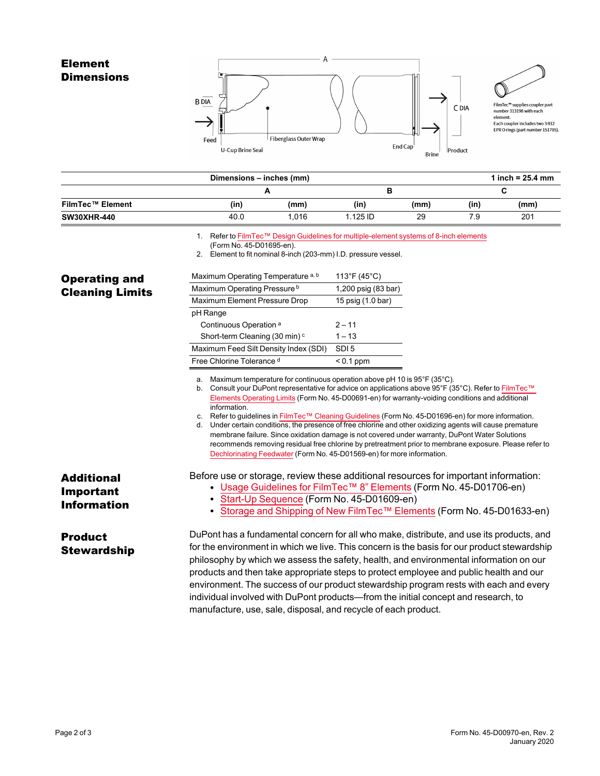

|                         | Dimensions - inches (mm) |       |            |      |      | 1 inch = $25.4 \, \text{mm}$ |
|-------------------------|--------------------------|-------|------------|------|------|------------------------------|
|                         |                          |       |            |      |      |                              |
| <b>FilmTec™ Element</b> | (in)                     | (mm)  | (in)       | (mm) | (in' | (mm)                         |
| <b>SW30XHR-440</b>      | 40.0                     | 1.016 | $1.125$ ID | 29   | 7.9  | 201                          |

1. Refer to FilmTec™ Design Guidelines for [multiple-element](https://www.dupont.com/content/dam/dupont/amer/us/en/water-solutions/public/documents/en/RO-NF-FilmTec-Membrane-Sys-Design-Guidelines-8inch-Manual-Exc-45-D01695-en.pdf) systems of 8-inch elements

Product

**Brine** 

(Form No. 45-D01695-en).

U-Cup Brine Seal

2. Element to fit nominal 8-inch (203-mm) I.D. pressure vessel.

| <b>Operating and</b>                   | Maximum Operating Temperature a, b                                                                                                                                                                                                                                                                                                                                                                                                                                                                                                                                                                                                                                                                                                                                                                                                                                                                                | 113°F (45°C)<br>1,200 psig (83 bar)                                                                                                                                                                                                                                                                                                                                                                                                                                                                                                                        |  |  |  |
|----------------------------------------|-------------------------------------------------------------------------------------------------------------------------------------------------------------------------------------------------------------------------------------------------------------------------------------------------------------------------------------------------------------------------------------------------------------------------------------------------------------------------------------------------------------------------------------------------------------------------------------------------------------------------------------------------------------------------------------------------------------------------------------------------------------------------------------------------------------------------------------------------------------------------------------------------------------------|------------------------------------------------------------------------------------------------------------------------------------------------------------------------------------------------------------------------------------------------------------------------------------------------------------------------------------------------------------------------------------------------------------------------------------------------------------------------------------------------------------------------------------------------------------|--|--|--|
| <b>Cleaning Limits</b>                 | Maximum Operating Pressure <sup>b</sup>                                                                                                                                                                                                                                                                                                                                                                                                                                                                                                                                                                                                                                                                                                                                                                                                                                                                           |                                                                                                                                                                                                                                                                                                                                                                                                                                                                                                                                                            |  |  |  |
|                                        | Maximum Element Pressure Drop                                                                                                                                                                                                                                                                                                                                                                                                                                                                                                                                                                                                                                                                                                                                                                                                                                                                                     | 15 psig (1.0 bar)                                                                                                                                                                                                                                                                                                                                                                                                                                                                                                                                          |  |  |  |
|                                        |                                                                                                                                                                                                                                                                                                                                                                                                                                                                                                                                                                                                                                                                                                                                                                                                                                                                                                                   | pH Range                                                                                                                                                                                                                                                                                                                                                                                                                                                                                                                                                   |  |  |  |
|                                        | Continuous Operation <sup>a</sup>                                                                                                                                                                                                                                                                                                                                                                                                                                                                                                                                                                                                                                                                                                                                                                                                                                                                                 | $2 - 11$                                                                                                                                                                                                                                                                                                                                                                                                                                                                                                                                                   |  |  |  |
|                                        | Short-term Cleaning (30 min) <sup>c</sup>                                                                                                                                                                                                                                                                                                                                                                                                                                                                                                                                                                                                                                                                                                                                                                                                                                                                         | $1 - 13$                                                                                                                                                                                                                                                                                                                                                                                                                                                                                                                                                   |  |  |  |
|                                        | Maximum Feed Silt Density Index (SDI)                                                                                                                                                                                                                                                                                                                                                                                                                                                                                                                                                                                                                                                                                                                                                                                                                                                                             | SDI <sub>5</sub>                                                                                                                                                                                                                                                                                                                                                                                                                                                                                                                                           |  |  |  |
| <b>Additional</b>                      | Free Chlorine Tolerance d                                                                                                                                                                                                                                                                                                                                                                                                                                                                                                                                                                                                                                                                                                                                                                                                                                                                                         | $< 0.1$ ppm                                                                                                                                                                                                                                                                                                                                                                                                                                                                                                                                                |  |  |  |
|                                        | Maximum temperature for continuous operation above pH 10 is 95°F (35°C).<br>а.<br>b. Consult your DuPont representative for advice on applications above 95°F (35°C). Refer to FilmTec™<br>Elements Operating Limits (Form No. 45-D00691-en) for warranty-voiding conditions and additional<br>information.<br>c. Refer to guidelines in FilmTec™ Cleaning Guidelines (Form No. 45-D01696-en) for more information.<br>Under certain conditions, the presence of free chlorine and other oxidizing agents will cause premature<br>d.<br>membrane failure. Since oxidation damage is not covered under warranty, DuPont Water Solutions<br>recommends removing residual free chlorine by pretreatment prior to membrane exposure. Please refer to<br>Dechlorinating Feedwater (Form No. 45-D01569-en) for more information.<br>Before use or storage, review these additional resources for important information: |                                                                                                                                                                                                                                                                                                                                                                                                                                                                                                                                                            |  |  |  |
| <b>Important</b><br><b>Information</b> | • Start-Up Sequence (Form No. 45-D01609-en)                                                                                                                                                                                                                                                                                                                                                                                                                                                                                                                                                                                                                                                                                                                                                                                                                                                                       | • Usage Guidelines for FilmTec <sup>TM</sup> 8" Elements (Form No. 45-D01706-en)<br>• Storage and Shipping of New FilmTec™ Elements (Form No. 45-D01633-en)                                                                                                                                                                                                                                                                                                                                                                                                |  |  |  |
| <b>Product</b><br><b>Stewardship</b>   | manufacture, use, sale, disposal, and recycle of each product.                                                                                                                                                                                                                                                                                                                                                                                                                                                                                                                                                                                                                                                                                                                                                                                                                                                    | DuPont has a fundamental concern for all who make, distribute, and use its products, and<br>for the environment in which we live. This concern is the basis for our product stewardship<br>philosophy by which we assess the safety, health, and environmental information on our<br>products and then take appropriate steps to protect employee and public health and our<br>environment. The success of our product stewardship program rests with each and every<br>individual involved with DuPont products—from the initial concept and research, to |  |  |  |